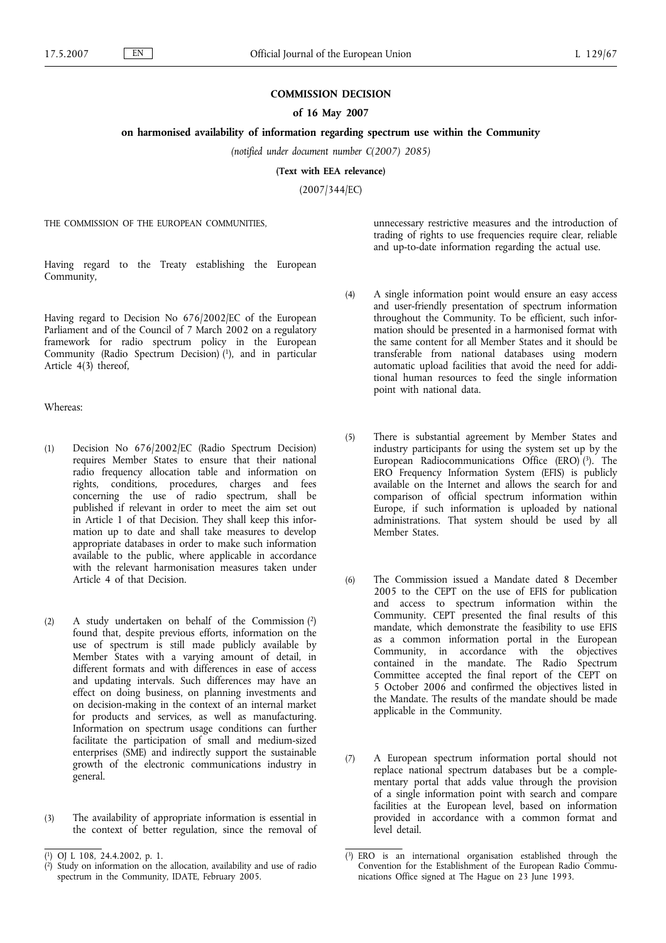## **COMMISSION DECISION**

# **of 16 May 2007**

## **on harmonised availability of information regarding spectrum use within the Community**

*(notified under document number C(2007) 2085)*

**(Text with EEA relevance)**

(2007/344/EC)

THE COMMISSION OF THE EUROPEAN COMMUNITIES,

unnecessary restrictive measures and the introduction of trading of rights to use frequencies require clear, reliable and up-to-date information regarding the actual use.

Having regard to the Treaty establishing the European Community,

Having regard to Decision No 676/2002/EC of the European Parliament and of the Council of 7 March 2002 on a regulatory framework for radio spectrum policy in the European Community (Radio Spectrum Decision) (1), and in particular Article 4(3) thereof,

Whereas:

- (1) Decision No 676/2002/EC (Radio Spectrum Decision) requires Member States to ensure that their national radio frequency allocation table and information on rights, conditions, procedures, charges and fees concerning the use of radio spectrum, shall be published if relevant in order to meet the aim set out in Article 1 of that Decision. They shall keep this information up to date and shall take measures to develop appropriate databases in order to make such information available to the public, where applicable in accordance with the relevant harmonisation measures taken under Article 4 of that Decision.
- (2) A study undertaken on behalf of the Commission (2) found that, despite previous efforts, information on the use of spectrum is still made publicly available by Member States with a varying amount of detail, in different formats and with differences in ease of access and updating intervals. Such differences may have an effect on doing business, on planning investments and on decision-making in the context of an internal market for products and services, as well as manufacturing. Information on spectrum usage conditions can further facilitate the participation of small and medium-sized enterprises (SME) and indirectly support the sustainable growth of the electronic communications industry in general.
- (3) The availability of appropriate information is essential in the context of better regulation, since the removal of
- (4) A single information point would ensure an easy access and user-friendly presentation of spectrum information throughout the Community. To be efficient, such information should be presented in a harmonised format with the same content for all Member States and it should be transferable from national databases using modern automatic upload facilities that avoid the need for additional human resources to feed the single information point with national data.
- (5) There is substantial agreement by Member States and industry participants for using the system set up by the European Radiocommunications Office (ERO)<sup>(3)</sup>. The ERO Frequency Information System (EFIS) is publicly available on the Internet and allows the search for and comparison of official spectrum information within Europe, if such information is uploaded by national administrations. That system should be used by all Member States.
- (6) The Commission issued a Mandate dated 8 December 2005 to the CEPT on the use of EFIS for publication and access to spectrum information within the Community. CEPT presented the final results of this mandate, which demonstrate the feasibility to use EFIS as a common information portal in the European Community, in accordance with the objectives contained in the mandate. The Radio Spectrum Committee accepted the final report of the CEPT on 5 October 2006 and confirmed the objectives listed in the Mandate. The results of the mandate should be made applicable in the Community.
- (7) A European spectrum information portal should not replace national spectrum databases but be a complementary portal that adds value through the provision of a single information point with search and compare facilities at the European level, based on information provided in accordance with a common format and level detail.

<sup>(</sup> 1) OJ L 108, 24.4.2002, p. 1.

<sup>(</sup> 2) Study on information on the allocation, availability and use of radio spectrum in the Community, IDATE, February 2005.

<sup>(</sup> 3) ERO is an international organisation established through the Convention for the Establishment of the European Radio Communications Office signed at The Hague on 23 June 1993.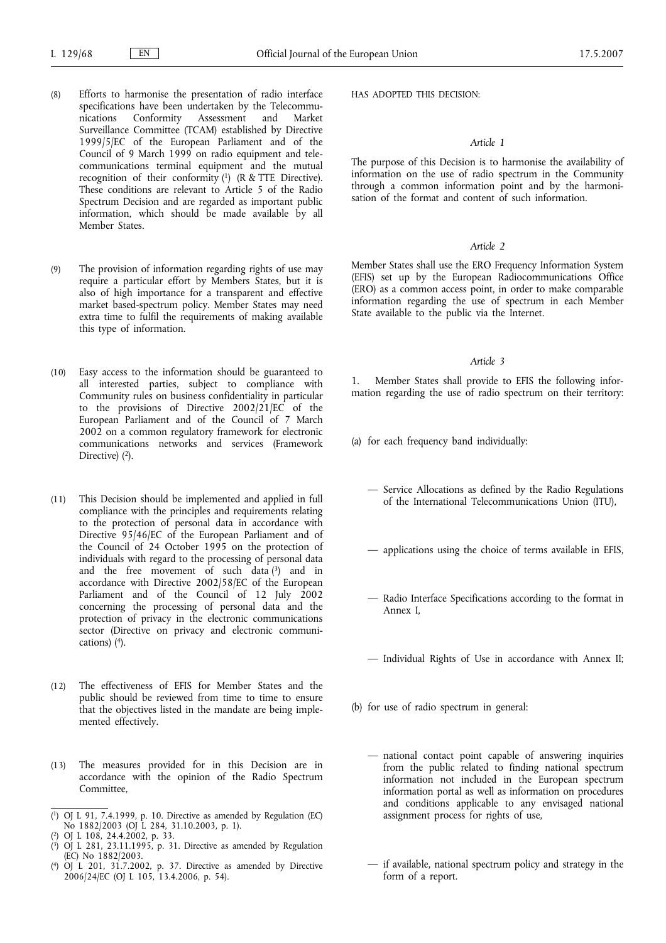- (8) Efforts to harmonise the presentation of radio interface specifications have been undertaken by the Telecommunications Conformity Assessment and Market Surveillance Committee (TCAM) established by Directive 1999/5/EC of the European Parliament and of the Council of 9 March 1999 on radio equipment and telecommunications terminal equipment and the mutual recognition of their conformity (1) (R & TTE Directive). These conditions are relevant to Article 5 of the Radio Spectrum Decision and are regarded as important public information, which should be made available by all Member States.
- (9) The provision of information regarding rights of use may require a particular effort by Members States, but it is also of high importance for a transparent and effective market based-spectrum policy. Member States may need extra time to fulfil the requirements of making available this type of information.
- (10) Easy access to the information should be guaranteed to all interested parties, subject to compliance with Community rules on business confidentiality in particular to the provisions of Directive 2002/21/EC of the European Parliament and of the Council of 7 March 2002 on a common regulatory framework for electronic communications networks and services (Framework Directive)  $(2)$ .
- (11) This Decision should be implemented and applied in full compliance with the principles and requirements relating to the protection of personal data in accordance with Directive 95/46/EC of the European Parliament and of the Council of 24 October 1995 on the protection of individuals with regard to the processing of personal data and the free movement of such data  $\binom{3}{3}$  and in accordance with Directive 2002/58/EC of the European Parliament and of the Council of 12 July 2002 concerning the processing of personal data and the protection of privacy in the electronic communications sector (Directive on privacy and electronic communications) (4).
- (12) The effectiveness of EFIS for Member States and the public should be reviewed from time to time to ensure that the objectives listed in the mandate are being implemented effectively.
- (13) The measures provided for in this Decision are in accordance with the opinion of the Radio Spectrum Committee,
- ( 1) OJ L 91, 7.4.1999, p. 10. Directive as amended by Regulation (EC) No 1882/2003 (OJ L 284, 31.10.2003, p. 1).
- ( 2) OJ L 108, 24.4.2002, p. 33.
- ( 3) OJ L 281, 23.11.1995, p. 31. Directive as amended by Regulation (EC) No 1882/2003.
- ( 4) OJ L 201, 31.7.2002, p. 37. Directive as amended by Directive 2006/24/EC (OJ L 105, 13.4.2006, p. 54).

HAS ADOPTED THIS DECISION:

# *Article 1*

The purpose of this Decision is to harmonise the availability of information on the use of radio spectrum in the Community through a common information point and by the harmonisation of the format and content of such information.

### *Article 2*

Member States shall use the ERO Frequency Information System (EFIS) set up by the European Radiocommunications Office (ERO) as a common access point, in order to make comparable information regarding the use of spectrum in each Member State available to the public via the Internet.

# *Article 3*

Member States shall provide to EFIS the following information regarding the use of radio spectrum on their territory:

- (a) for each frequency band individually:
	- Service Allocations as defined by the Radio Regulations of the International Telecommunications Union (ITU),
	- applications using the choice of terms available in EFIS,
	- Radio Interface Specifications according to the format in Annex I,
	- Individual Rights of Use in accordance with Annex II;
- (b) for use of radio spectrum in general:
	- national contact point capable of answering inquiries from the public related to finding national spectrum information not included in the European spectrum information portal as well as information on procedures and conditions applicable to any envisaged national assignment process for rights of use,
	- if available, national spectrum policy and strategy in the form of a report.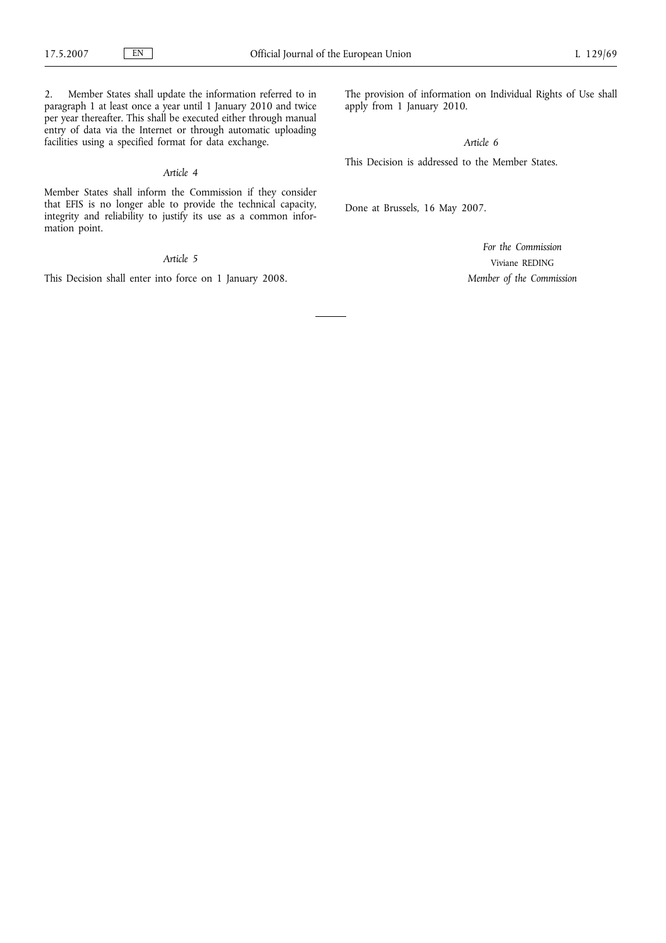2. Member States shall update the information referred to in paragraph 1 at least once a year until 1 January 2010 and twice per year thereafter. This shall be executed either through manual entry of data via the Internet or through automatic uploading facilities using a specified format for data exchange.

#### *Article 4*

Member States shall inform the Commission if they consider that EFIS is no longer able to provide the technical capacity, integrity and reliability to justify its use as a common information point.

*Article 5*

This Decision shall enter into force on 1 January 2008.

The provision of information on Individual Rights of Use shall apply from 1 January 2010.

*Article 6*

This Decision is addressed to the Member States.

Done at Brussels, 16 May 2007.

*For the Commission* Viviane REDING *Member of the Commission*